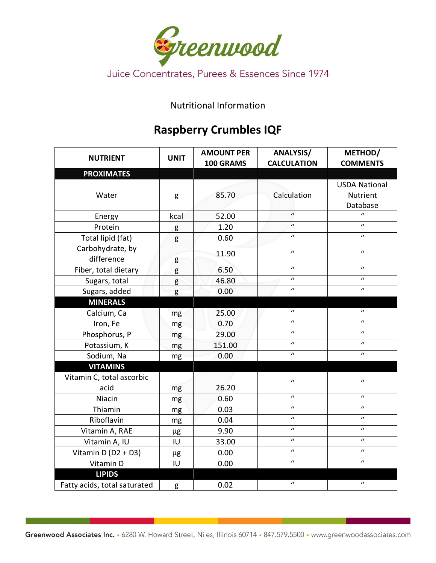

Nutritional Information

## **Raspberry Crumbles IQF**

| <b>NUTRIENT</b>                | <b>UNIT</b> | <b>AMOUNT PER</b><br>100 GRAMS | <b>ANALYSIS/</b><br><b>CALCULATION</b> | METHOD/<br><b>COMMENTS</b>                   |
|--------------------------------|-------------|--------------------------------|----------------------------------------|----------------------------------------------|
| <b>PROXIMATES</b>              |             |                                |                                        |                                              |
| Water                          | g           | 85.70                          | Calculation                            | <b>USDA National</b><br>Nutrient<br>Database |
| Energy                         | kcal        | 52.00                          | $\mathbf{u}$                           | $\boldsymbol{u}$                             |
| Protein                        | g           | 1.20                           | $\boldsymbol{u}$                       | $\boldsymbol{u}$                             |
| Total lipid (fat)              | g           | 0.60                           | $\mathbf{u}$                           | $\mathbf{u}$                                 |
| Carbohydrate, by<br>difference | g           | 11.90                          | $\boldsymbol{u}$                       | $\boldsymbol{u}$                             |
| Fiber, total dietary           | g           | 6.50                           | $\mathbf{u}$                           | $\boldsymbol{u}$                             |
| Sugars, total                  | g           | 46.80                          | $\mathbf{u}$                           | $\boldsymbol{u}$                             |
| Sugars, added                  | g           | 0.00                           | $\mathbf{u}$                           | $\boldsymbol{u}$                             |
| <b>MINERALS</b>                |             |                                |                                        |                                              |
| Calcium, Ca                    | mg          | 25.00                          | $\mathbf{u}$                           | $\boldsymbol{u}$                             |
| Iron, Fe                       | mg          | 0.70                           | $\boldsymbol{u}$                       | $\boldsymbol{u}$                             |
| Phosphorus, P                  | mg          | 29.00                          | $\mathbf{u}$                           | $\boldsymbol{u}$                             |
| Potassium, K                   | mg          | 151.00                         | $\mathbf{u}$                           | $\mathbf{u}$                                 |
| Sodium, Na                     | mg          | 0.00                           | $\mathbf{u}$                           | $\mathbf{u}$                                 |
| <b>VITAMINS</b>                |             |                                |                                        |                                              |
| Vitamin C, total ascorbic      |             |                                | $\boldsymbol{u}$                       | $\boldsymbol{u}$                             |
| acid                           | mg          | 26.20                          |                                        |                                              |
| Niacin                         | mg          | 0.60                           | $\mathbf{u}$                           | $\boldsymbol{u}$                             |
| Thiamin                        | mg          | 0.03                           | $\mathbf{u}$                           | $\boldsymbol{u}$                             |
| Riboflavin                     | mg          | 0.04                           | $\mathbf{u}$                           | $\mathbf{u}$                                 |
| Vitamin A, RAE                 | μg          | 9.90                           | $\boldsymbol{u}$                       | $\boldsymbol{u}$                             |
| Vitamin A, IU                  | IU          | 33.00                          | $\boldsymbol{u}$                       | $\boldsymbol{u}$                             |
| Vitamin D ( $D2 + D3$ )        | μg          | 0.00                           | $\boldsymbol{u}$                       | $\boldsymbol{u}$                             |
| Vitamin D                      | IU          | 0.00                           | $\boldsymbol{u}$                       | $\boldsymbol{u}$                             |
| <b>LIPIDS</b>                  |             |                                |                                        |                                              |
| Fatty acids, total saturated   | g           | 0.02                           | $\boldsymbol{u}$                       | $\boldsymbol{u}$                             |